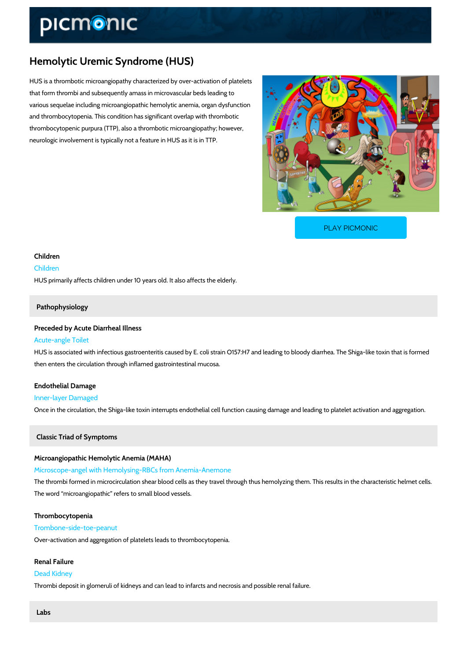# Hemolytic Uremic Syndrome (HUS)

HUS is a thrombotic microangiopathy characterized by over-activation of platelets that form thrombi and subsequently amass in microvascular beds leading to various sequelae including microangiopathic hemolytic anemia, organ dysfunction and thrombocytopenia. This condition has significant overlap with thrombotic thrombocytopenic purpura (TTP), also a thrombotic microangiopathy; however, neurologic involvement is typically not a feature in HUS as it is in TTP.

[PLAY PICMONIC](https://www.picmonic.com/learn/hemolytic-uremic-syndrome-hus_1251?utm_source=downloadable_content&utm_medium=distributedcontent&utm_campaign=pathways_pdf&utm_content=Hemolytic Uremic Syndrome (HUS)&utm_ad_group=leads&utm_market=all)

# Children Children HUS primarily affects children under 10 years old. It also affects the elderly.

# Pathophysiology

# Preceded by Acute Diarrheal Illness

## Acute-angle Toilet

HUS is associated with infectious gastroenteritis caused by E. coli strain O157:H7 and leadin then enters the circulation through inflamed gastrointestinal mucosa.

Endothelial Damage Inner-layer Damaged Once in the circulation, the Shiga-like toxin interrupts endothelial cell function causing dama

Classic Triad of Symptoms

Microangiopathic Hemolytic Anemia (MAHA) Microscope-angel with Hemolysing-RBCs from Anemia-Anemone The thrombi formed in microcirculation shear blood cells as they travel through thus hemolyzi The word microangiopathic refers to small blood vessels.

# Thrombocytopenia Trombone-side-toe-peanut Over-activation and aggregation of platelets leads to thrombocytopenia.

Renal Failure Dead Kidney Thrombi deposit in glomeruli of kidneys and can lead to infarcts and necrosis and possible re